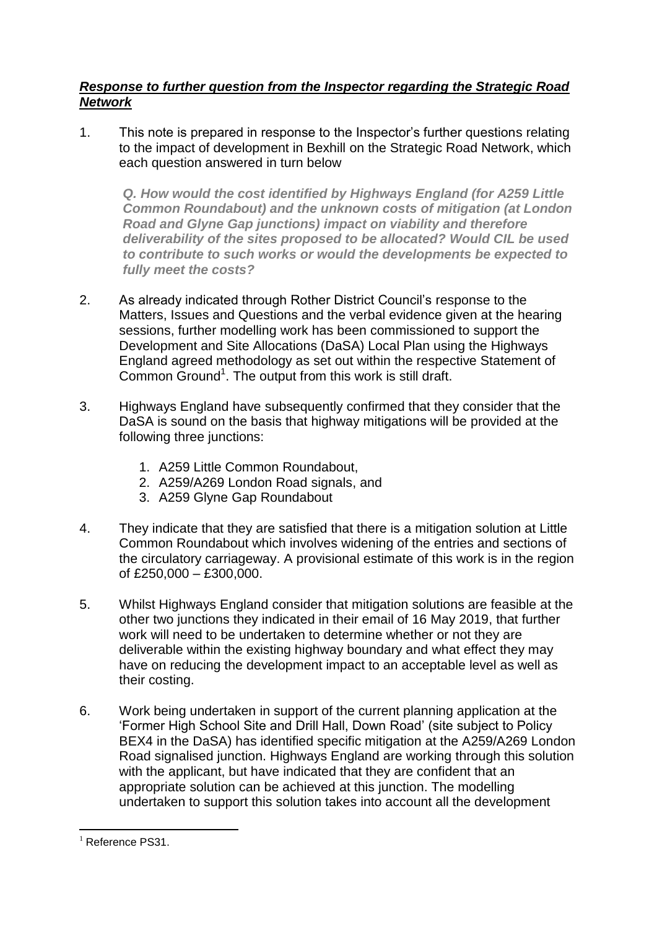## *Response to further question from the Inspector regarding the Strategic Road Network*

1. This note is prepared in response to the Inspector's further questions relating to the impact of development in Bexhill on the Strategic Road Network, which each question answered in turn below

*Q. How would the cost identified by Highways England (for A259 Little Common Roundabout) and the unknown costs of mitigation (at London Road and Glyne Gap junctions) impact on viability and therefore deliverability of the sites proposed to be allocated? Would CIL be used to contribute to such works or would the developments be expected to fully meet the costs?*

- 2. As already indicated through Rother District Council's response to the Matters, Issues and Questions and the verbal evidence given at the hearing sessions, further modelling work has been commissioned to support the Development and Site Allocations (DaSA) Local Plan using the Highways England agreed methodology as set out within the respective Statement of Common Ground<sup>1</sup>. The output from this work is still draft.
- 3. Highways England have subsequently confirmed that they consider that the DaSA is sound on the basis that highway mitigations will be provided at the following three junctions:
	- 1. A259 Little Common Roundabout,
	- 2. A259/A269 London Road signals, and
	- 3. A259 Glyne Gap Roundabout
- 4. They indicate that they are satisfied that there is a mitigation solution at Little Common Roundabout which involves widening of the entries and sections of the circulatory carriageway. A provisional estimate of this work is in the region of £250,000 – £300,000.
- 5. Whilst Highways England consider that mitigation solutions are feasible at the other two junctions they indicated in their email of 16 May 2019, that further work will need to be undertaken to determine whether or not they are deliverable within the existing highway boundary and what effect they may have on reducing the development impact to an acceptable level as well as their costing.
- 6. Work being undertaken in support of the current planning application at the 'Former High School Site and Drill Hall, Down Road' (site subject to Policy BEX4 in the DaSA) has identified specific mitigation at the A259/A269 London Road signalised junction. Highways England are working through this solution with the applicant, but have indicated that they are confident that an appropriate solution can be achieved at this junction. The modelling undertaken to support this solution takes into account all the development

<sup>1</sup>  $1$  Reference PS31.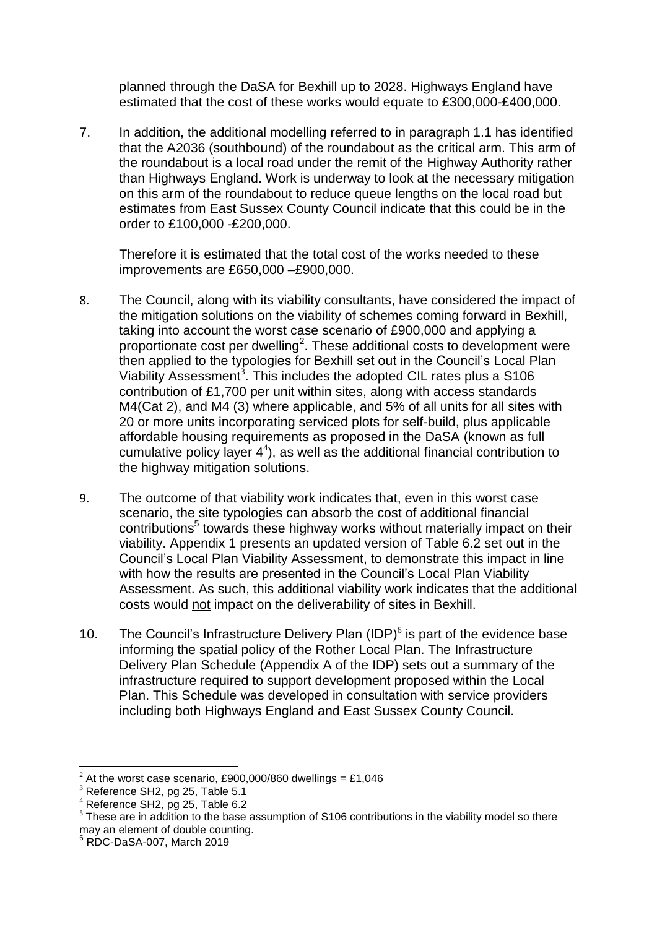planned through the DaSA for Bexhill up to 2028. Highways England have estimated that the cost of these works would equate to £300,000-£400,000.

7. In addition, the additional modelling referred to in paragraph 1.1 has identified that the A2036 (southbound) of the roundabout as the critical arm. This arm of the roundabout is a local road under the remit of the Highway Authority rather than Highways England. Work is underway to look at the necessary mitigation on this arm of the roundabout to reduce queue lengths on the local road but estimates from East Sussex County Council indicate that this could be in the order to £100,000 -£200,000.

Therefore it is estimated that the total cost of the works needed to these improvements are £650,000 –£900,000.

- 8. The Council, along with its viability consultants, have considered the impact of the mitigation solutions on the viability of schemes coming forward in Bexhill, taking into account the worst case scenario of £900,000 and applying a proportionate cost per dwelling<sup>2</sup>. These additional costs to development were then applied to the typologies for Bexhill set out in the Council's Local Plan Viability Assessment<sup>3</sup>. This includes the adopted CIL rates plus a S106 contribution of £1,700 per unit within sites, along with access standards M4(Cat 2), and M4 (3) where applicable, and 5% of all units for all sites with 20 or more units incorporating serviced plots for self-build, plus applicable affordable housing requirements as proposed in the DaSA (known as full cumulative policy layer  $4^4$ ), as well as the additional financial contribution to the highway mitigation solutions.
- 9. The outcome of that viability work indicates that, even in this worst case scenario, the site typologies can absorb the cost of additional financial contributions<sup>5</sup> towards these highway works without materially impact on their viability. Appendix 1 presents an updated version of Table 6.2 set out in the Council's Local Plan Viability Assessment, to demonstrate this impact in line with how the results are presented in the Council's Local Plan Viability Assessment. As such, this additional viability work indicates that the additional costs would not impact on the deliverability of sites in Bexhill.
- 10. The Council's Infrastructure Delivery Plan  $(IDP)^6$  is part of the evidence base informing the spatial policy of the Rother Local Plan. The Infrastructure Delivery Plan Schedule (Appendix A of the IDP) sets out a summary of the infrastructure required to support development proposed within the Local Plan. This Schedule was developed in consultation with service providers including both Highways England and East Sussex County Council.

1

 $^{2}$  At the worst case scenario, £900,000/860 dwellings = £1,046

<sup>&</sup>lt;sup>3</sup> Reference SH2, pg 25, Table 5.1

 $4$  Reference SH2, pg 25, Table 6.2

 $<sup>5</sup>$  These are in addition to the base assumption of S106 contributions in the viability model so there</sup> may an element of double counting.

 $6$  RDC-DaSA-007, March 2019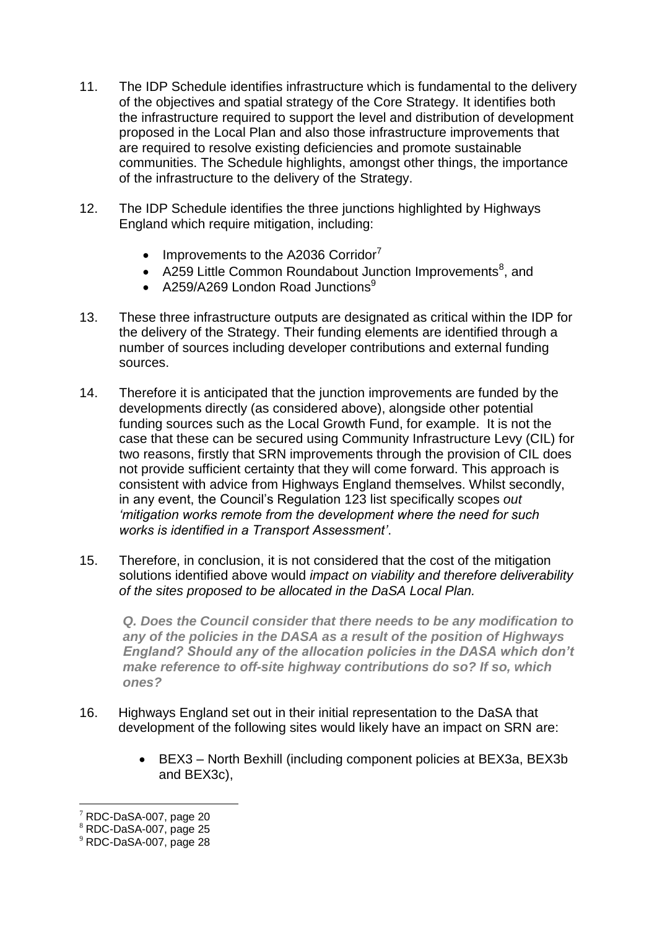- 11. The IDP Schedule identifies infrastructure which is fundamental to the delivery of the objectives and spatial strategy of the Core Strategy. It identifies both the infrastructure required to support the level and distribution of development proposed in the Local Plan and also those infrastructure improvements that are required to resolve existing deficiencies and promote sustainable communities. The Schedule highlights, amongst other things, the importance of the infrastructure to the delivery of the Strategy.
- 12. The IDP Schedule identifies the three junctions highlighted by Highways England which require mitigation, including:
	- $\bullet$  Improvements to the A2036 Corridor<sup>7</sup>
	- A259 Little Common Roundabout Junction Improvements<sup>8</sup>, and
	- A259/A269 London Road Junctions $9$
- 13. These three infrastructure outputs are designated as critical within the IDP for the delivery of the Strategy. Their funding elements are identified through a number of sources including developer contributions and external funding sources.
- 14. Therefore it is anticipated that the junction improvements are funded by the developments directly (as considered above), alongside other potential funding sources such as the Local Growth Fund, for example. It is not the case that these can be secured using Community Infrastructure Levy (CIL) for two reasons, firstly that SRN improvements through the provision of CIL does not provide sufficient certainty that they will come forward. This approach is consistent with advice from Highways England themselves. Whilst secondly, in any event, the Council's Regulation 123 list specifically scopes *out 'mitigation works remote from the development where the need for such works is identified in a Transport Assessment'*.
- 15. Therefore, in conclusion, it is not considered that the cost of the mitigation solutions identified above would *impact on viability and therefore deliverability of the sites proposed to be allocated in the DaSA Local Plan.*

*Q. Does the Council consider that there needs to be any modification to any of the policies in the DASA as a result of the position of Highways England? Should any of the allocation policies in the DASA which don't make reference to off-site highway contributions do so? If so, which ones?*

- 16. Highways England set out in their initial representation to the DaSA that development of the following sites would likely have an impact on SRN are:
	- BEX3 North Bexhill (including component policies at BEX3a, BEX3b and BEX3c),

<sup>1</sup>  $7$  RDC-DaSA-007, page 20

 $8$  RDC-DaSA-007, page 25

<sup>9</sup> RDC-DaSA-007, page 28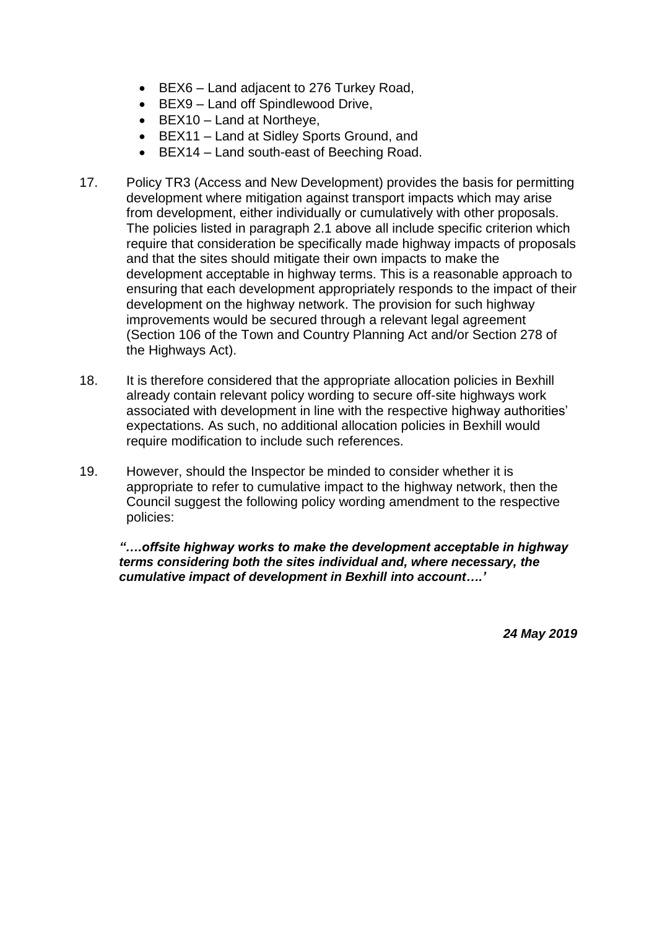- BEX6 Land adjacent to 276 Turkey Road,
- BEX9 Land off Spindlewood Drive,
- $\bullet$  BEX10 Land at Northeye,
- BEX11 Land at Sidley Sports Ground, and
- BEX14 Land south-east of Beeching Road.
- 17. Policy TR3 (Access and New Development) provides the basis for permitting development where mitigation against transport impacts which may arise from development, either individually or cumulatively with other proposals. The policies listed in paragraph 2.1 above all include specific criterion which require that consideration be specifically made highway impacts of proposals and that the sites should mitigate their own impacts to make the development acceptable in highway terms. This is a reasonable approach to ensuring that each development appropriately responds to the impact of their development on the highway network. The provision for such highway improvements would be secured through a relevant legal agreement (Section 106 of the Town and Country Planning Act and/or Section 278 of the Highways Act).
- 18. It is therefore considered that the appropriate allocation policies in Bexhill already contain relevant policy wording to secure off-site highways work associated with development in line with the respective highway authorities' expectations. As such, no additional allocation policies in Bexhill would require modification to include such references.
- 19. However, should the Inspector be minded to consider whether it is appropriate to refer to cumulative impact to the highway network, then the Council suggest the following policy wording amendment to the respective policies:

*"….offsite highway works to make the development acceptable in highway terms considering both the sites individual and, where necessary, the cumulative impact of development in Bexhill into account….'*

*24 May 2019*